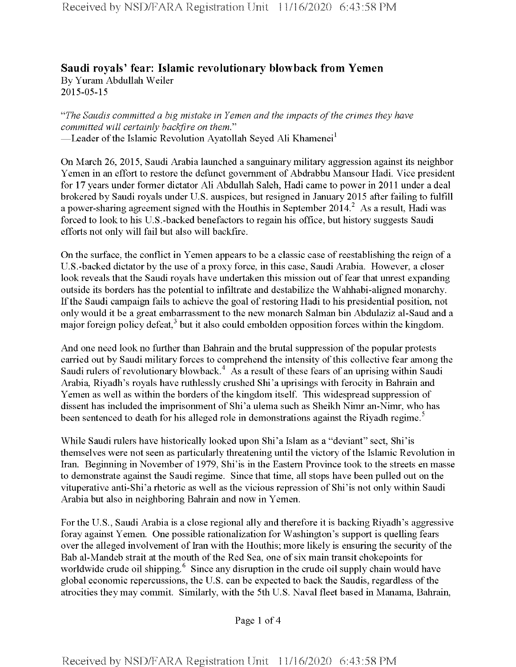## **Saudi royals' fear: Islamic revolutionary blowback from Yemen** By Yuram Abdullah Weiler 2015-05-15

*"The Saudis committed a big mistake in Yemen and the impacts ofthe crimes they have committed will certainly backfire on them."* —Leader of the Islamic Revolution Ayatollah Seyed Ali Khamenei $^{\rm l}$ 

On March 26, 2015, Saudi Arabia launched a sanguinary military aggression against its neighbor Yemen in an effort to restore the defunct government of Abdrabbu Mansour Hadi. Vice president for 17 years under former dictator Ali Abdullah Saleh, Hadi came to power in 2011 under a deal brokered by Saudi royals under U.S. auspices, but resigned in January 2015 after failing to fulfill a power-sharing agreement signed with the Houthis in September 2014.<sup>2</sup> As a result, Hadi was forced to look to his U.S.-backed benefactors to regain his office, but history suggests Saudi efforts not only will fail but also will backfire.

On the surface, the conflict in Yemen appears to be a classic case ofreestablishing the reign of a U.S.-backed dictator by the use of a proxy force, in this case, Saudi Arabia. However, a closer look reveals that the Saudi royals have undertaken this mission out of fear that unrest expanding outside its borders has the potential to infiltrate and destabilize the Wahhabi-aligned monarchy. If the Saudi campaign fails to achieve the goal of restoring Hadi to his presidential position, not only would it be a great embarrassment to the new monarch Salman bin Abdulaziz al-Saud and a major foreign policy defeat, $3$  but it also could embolden opposition forces within the kingdom.

And one need look no further than Bahrain and the brutal suppression of the popular protests carried out by Saudi military forces to comprehend the intensity of this collective fear among the Saudi rulers of revolutionary blowback.<sup>4</sup> As a result of these fears of an uprising within Saudi Arabia, Riyadh's royals have ruthlessly crushed Shi'a uprisings with ferocity in Bahrain and Yemen as well as within the borders of the kingdom itself. This widespread suppression of dissent has included the imprisonment of Shi'a ulema such as Sheikh Nimr an-Nimr, who has been sentenced to death for his alleged role in demonstrations against the Riyadh regime.<sup>5</sup>

While Saudi rulers have historically looked upon Shi'a Islam as a "deviant" sect, Shi'is themselves were not seen as particularly threatening until the victory of the Islamic Revolution in Iran. Beginning in November of 1979, Shi'is in the Eastern Province took to the streets en masse to demonstrate against the Saudi regime. Since that time, all stops have been pulled out on the vituperative anti-Shi'a rhetoric as well as the vicious repression of Shi'is not only within Saudi Arabia but also in neighboring Bahrain and now in Yemen.

For the U.S., Saudi Arabia is a close regional ally and therefore it is backing Riyadh's aggressive foray against Yemen. One possible rationalization for Washington's support is quelling fears over the alleged involvement of Iran with the Houthis; more likely is ensuring the security of the Bab al-Mandeb strait at the mouth of the Red Sea, one of six main transit chokepoints for worldwide crude oil shipping.<sup>6</sup> Since any disruption in the crude oil supply chain would have global economic repercussions, the U.S. can be expected to back the Saudis, regardless of the atrocities they may commit. Similarly, with the 5th U.S. Naval fleet based in Manama, Bahrain,

Page <sup>1</sup> of 4

Received by NSD/FARA Registration Unit 11/16/2020 6:43:58 PM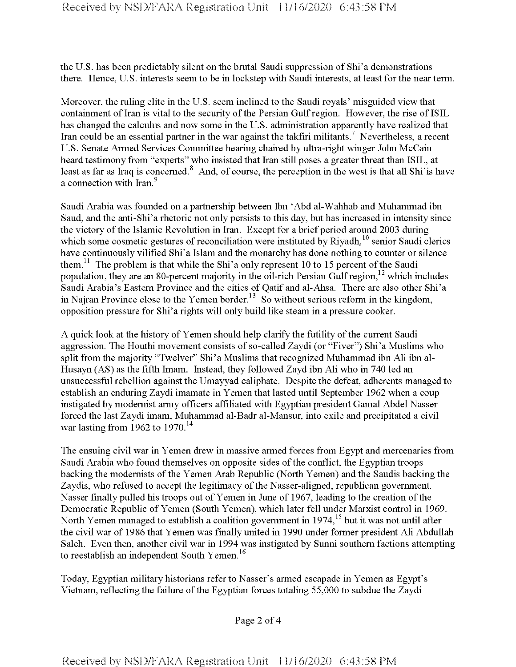the U.S. has been predictably silent on the brutal Saudi suppression of Shi'a demonstrations there. Hence, U.S. interests seem to be in lockstep with Saudi interests, at least forthe near term.

Moreover, the ruling elite in the U.S. seem inclined to the Saudi royals' misguided view that containment of Iran is vital to the security of the Persian Gulf region. However, the rise of ISIL has changed the calculus and now some in the U.S. administration apparently have realized that Iran could be an essential partner in the war against the takfiri militants.<sup>7</sup> Nevertheless, a recent U.S. Senate Armed Services Committee hearing chaired by ultra-right winger John McCain heard testimony from "experts" who insisted that Iran still poses a greater threat than ISIL, at least as far as Iraq is concerned.<sup>8</sup> And, of course, the perception in the west is that all Shi'is have a connection with Iran.<sup>9</sup>

Saudi Arabia was founded on a partnership between Ibn 'Abd al-Wahhab and Muhammad ibn Saud, and the anti-Shi'a rhetoric not only persists to this day, but has increased in intensity since the victory of the Islamic Revolution in Iran. Except for a brief period around 2003 during which some cosmetic gestures of reconciliation were instituted by Riyadh,<sup>10</sup> senior Saudi clerics have continuously vilified Shi'a Islam and the monarchy has done nothing to counter or silence them.<sup>11</sup> The problem is that while the Shi'a only represent 10 to 15 percent of the Saudi population, they are an 80-percent majority in the oil-rich Persian Gulf region,  $12$  which includes Saudi Arabia's Eastern Province and the cities of Qatif and al-Ahsa. There are also other Shi'a in Najran Province close to the Yemen border.<sup>13</sup> So without serious reform in the kingdom, opposition pressure for Shi'a rights will only build like steam in a pressure cooker.

A quick look at the history of Yemen should help clarify the futility ofthe current Saudi aggression. The Houthi movement consists of so-called Zaydi (or "Fiver") Shi'a Muslims who split from the majority "Twelver" Shi'a Muslims that recognized Muhammad ibn Ali ibn al-Husayn (AS) as the fifth Imam. Instead, they followed Zayd ibn Ali who in 740 led an unsuccessful rebellion against the Umayyad caliphate. Despite the defeat, adherents managed to establish an enduring Zaydi imamate in Yemen that lasted until September 1962 when a coup instigated by modernist army officers affiliated with Egyptian president Gamal Abdel Nasser forced the last Zaydi imam, Muhammad al-Badr al-Mansur, into exile and precipitated a civil war lasting from 1962 to 1970.<sup>14</sup>

The ensuing civil war in Yemen drew in massive armed forces from Egypt and mercenaries from Saudi Arabia who found themselves on opposite sides of the conflict, the Egyptian troops backing the modernists of the Yemen Arab Republic (North Yemen) and the Saudis backing the Zaydis, who refused to accept the legitimacy of the Nasser-aligned, republican government. Nasser finally pulled his troops out of Yemen in June of 1967, leading to the creation of the Democratic Republic of Yemen (South Yemen), which later fell under Marxist control in 1969. North Yemen managed to establish a coalition government in  $1974<sup>15</sup>$  but it was not until after the civil war of 1986 that Yemen was finally united in 1990 under former president Ali Abdullah Saleh. Even then, another civil war in 1994 was instigated by Sunni southern factions attempting to reestablish an independent South Yemen.<sup>16</sup>

Today, Egyptian military historians refer to Nasser's armed escapade in Yemen as Egypt's Vietnam, reflecting the failure of the Egyptian forces totaling 55,000 to subdue the Zaydi

Page 2 of 4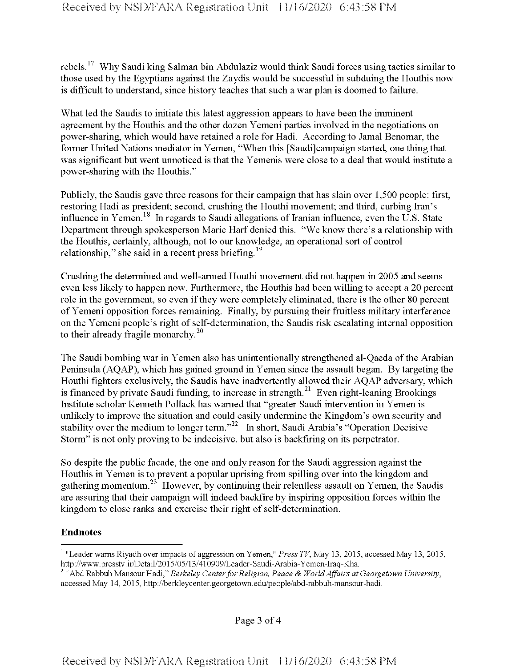rebels.17 Why Saudi king Salman bin Abdulaziz would think Saudi forces using tactics similar to those used by the Egyptians against the Zaydis would be successful in subduing the Houthis now is difficult to understand, since history teaches that such a war plan is doomed to failure.

What led the Saudis to initiate this latest aggression appears to have been the imminent agreement by the Houthis and the other dozen Yemeni parties involved in the negotiations on power-sharing, which would have retained a role for Hadi. According to Jamal Benomar, the former United Nations mediator in Yemen, "When this [Saudi]campaign started, one thing that was significant but went unnoticed is that the Yemenis were close to a deal that would institute a power-sharing with the Houthis."

Publicly, the Saudis gave three reasons for their campaign that has slain over 1,500 people: first, restoring Hadi as president; second, crushing the Houthi movement; and third, curbing Iran's influence in Yemen.<sup>18</sup> In regards to Saudi allegations of Iranian influence, even the U.S. State Department through spokesperson Marie Harf denied this. "We know there's a relationship with the Houthis, certainly, although, not to our knowledge, an operational sort of control relationship," she said in a recent press briefing.<sup>19</sup>

Crushing the determined and well-armed Houthi movement did not happen in 2005 and seems even less likely to happen now. Furthermore, the Houthis had been willing to accept a 20 percent role in the government, so even if they were completely eliminated, there is the other 80 percent ofYemeni opposition forces remaining. Finally, by pursuing their fruitless military interference on the Yemeni people's right of self-determination, the Saudis risk escalating internal opposition to their already fragile monarchy. $20$ 

The Saudi bombing war in Yemen also has unintentionally strengthened al-Qaeda of the Arabian Peninsula (AQAP), which has gained ground in Yemen since the assault began. By targeting the Houthi fighters exclusively, the Saudis have inadvertently allowed their AQAP adversary, which is financed by private Saudi funding, to increase in strength. Even right-leaning Brookings Institute scholar Kenneth Pollack has warned that "greater Saudi intervention in Yemen is unlikely to improve the situation and could easily undermine the Kingdom's own security and stability over the medium to longer term."<sup>22</sup> In short, Saudi Arabia's "Operation Decisive Storm" is not only proving to be indecisive, but also is backfiring on its perpetrator.

So despite the public facade, the one and only reason forthe Saudi aggression against the Houthis in Yemen is to prevent a popular uprising from spilling over into the kingdom and gathering momentum.<sup>23</sup> However, by continuing their relentless assault on Yemen, the Saudis are assuring that their campaign will indeed backfire by inspiring opposition forces within the kingdom to close ranks and exercise their right of self-determination.

## **Endnotes**

<sup>1</sup> "Leader warns Riyadh over impacts of aggression on Yemen," *Press TV*, May 13, 2015, accessed May 13, 2015, http://www.presstv.ir/Detail/2015/05/13/410909/Leader-Saudi-Arabia-Yemen-Iraq-Kha.

<sup>2</sup> "Abd Rabbuh Mansour Hadi," *Berkeley CenterforReligion, Peace & WorldAffairs at Georgetown University*, accessed May 14, 2015, http://berkleycenter.georgetown.edu/people/abd-rabbuh-mansour-hadi.